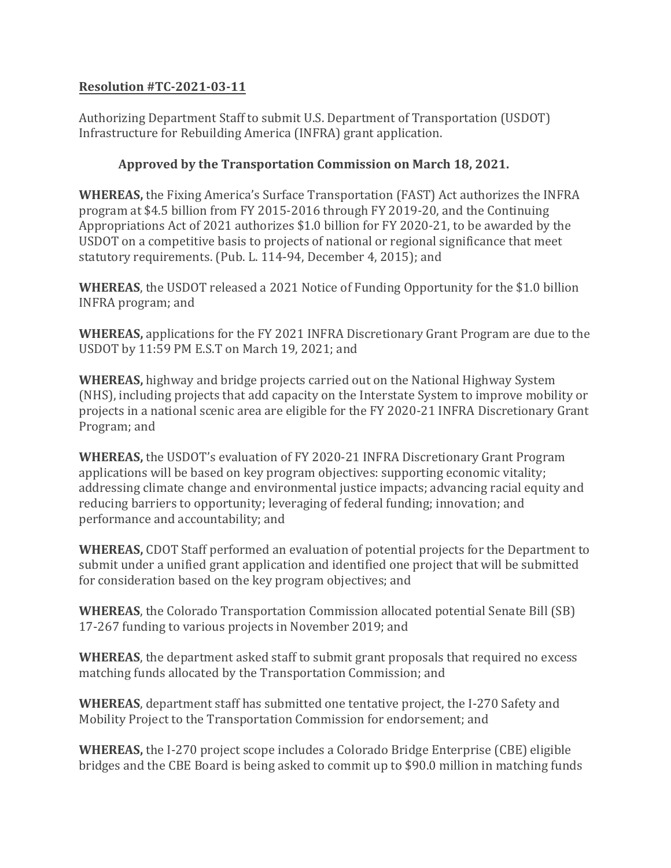## **Resolution #TC-2021-03-11**

Authorizing Department Staff to submit U.S. Department of Transportation (USDOT) Infrastructure for Rebuilding America (INFRA) grant application.

## **Approved by the Transportation Commission on March 18, 2021.**

**WHEREAS,** the Fixing America's Surface Transportation (FAST) Act authorizes the INFRA program at \$4.5 billion from FY 2015-2016 through FY 2019-20, and the Continuing Appropriations Act of 2021 authorizes \$1.0 billion for FY 2020-21, to be awarded by the USDOT on a competitive basis to projects of national or regional significance that meet statutory requirements. (Pub. L. 114-94, December 4, 2015); and

**WHEREAS**, the USDOT released a 2021 Notice of Funding Opportunity for the \$1.0 billion INFRA program; and

**WHEREAS,** applications for the FY 2021 INFRA Discretionary Grant Program are due to the USDOT by 11:59 PM E.S.T on March 19, 2021; and

**WHEREAS,** highway and bridge projects carried out on the National Highway System (NHS), including projects that add capacity on the Interstate System to improve mobility or projects in a national scenic area are eligible for the FY 2020-21 INFRA Discretionary Grant Program; and

**WHEREAS,** the USDOT's evaluation of FY 2020-21 INFRA Discretionary Grant Program applications will be based on key program objectives: supporting economic vitality; addressing climate change and environmental justice impacts; advancing racial equity and reducing barriers to opportunity; leveraging of federal funding; innovation; and performance and accountability; and

**WHEREAS,** CDOT Staff performed an evaluation of potential projects for the Department to submit under a unified grant application and identified one project that will be submitted for consideration based on the key program objectives; and

**WHEREAS**, the Colorado Transportation Commission allocated potential Senate Bill (SB) 17-267 funding to various projects in November 2019; and

**WHEREAS**, the department asked staff to submit grant proposals that required no excess matching funds allocated by the Transportation Commission; and

**WHEREAS**, department staff has submitted one tentative project, the I-270 Safety and Mobility Project to the Transportation Commission for endorsement; and

**WHEREAS,** the I-270 project scope includes a Colorado Bridge Enterprise (CBE) eligible bridges and the CBE Board is being asked to commit up to \$90.0 million in matching funds